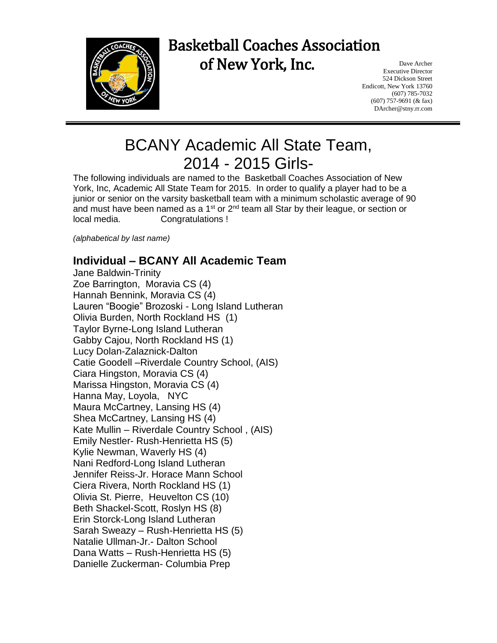

## Basketball Coaches Association of New York, Inc.

Dave Archer Executive Director 524 Dickson Street Endicott, New York 13760 (607) 785-7032 (607) 757-9691 (& fax) DArcher@stny.rr.com

## BCANY Academic All State Team, 2014 - 2015 Girls-

The following individuals are named to the Basketball Coaches Association of New York, Inc, Academic All State Team for 2015. In order to qualify a player had to be a junior or senior on the varsity basketball team with a minimum scholastic average of 90 and must have been named as a 1<sup>st</sup> or  $2<sup>nd</sup>$  team all Star by their league, or section or local media. Congratulations !

*(alphabetical by last name)*

## **Individual – BCANY All Academic Team**

Jane Baldwin-Trinity Zoe Barrington, Moravia CS (4) Hannah Bennink, Moravia CS (4) Lauren "Boogie" Brozoski - Long Island Lutheran Olivia Burden, North Rockland HS (1) Taylor Byrne-Long Island Lutheran Gabby Cajou, North Rockland HS (1) Lucy Dolan-Zalaznick-Dalton Catie Goodell –Riverdale Country School, (AIS) Ciara Hingston, Moravia CS (4) Marissa Hingston, Moravia CS (4) Hanna May, Loyola, NYC Maura McCartney, Lansing HS (4) Shea McCartney, Lansing HS (4) Kate Mullin – Riverdale Country School , (AIS) Emily Nestler- Rush-Henrietta HS (5) Kylie Newman, Waverly HS (4) Nani Redford-Long Island Lutheran Jennifer Reiss-Jr. Horace Mann School Ciera Rivera, North Rockland HS (1) Olivia St. Pierre, Heuvelton CS (10) Beth Shackel-Scott, Roslyn HS (8) Erin Storck-Long Island Lutheran Sarah Sweazy – Rush-Henrietta HS (5) Natalie Ullman-Jr.- Dalton School Dana Watts – Rush-Henrietta HS (5) Danielle Zuckerman- Columbia Prep